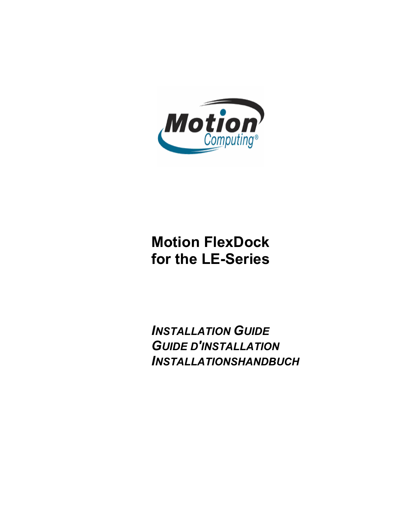

# **Motion FlexDock for the LE-Series**

*INSTALLATION GUIDE GUIDE D'INSTALLATION INSTALLATIONSHANDBUCH*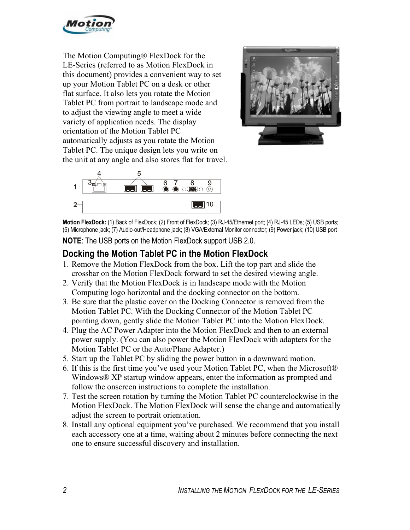

The Motion Computing® FlexDock for the LE-Series (referred to as Motion FlexDock in this document) provides a convenient way to set up your Motion Tablet PC on a desk or other flat surface. It also lets you rotate the Motion Tablet PC from portrait to landscape mode and to adjust the viewing angle to meet a wide variety of application needs. The display orientation of the Motion Tablet PC automatically adjusts as you rotate the Motion Tablet PC. The unique design lets you write on the unit at any angle and also stores flat for travel.





**Motion FlexDock:** (1) Back of FlexDock; (2) Front of FlexDock; (3) RJ-45/Ethernet port; (4) RJ-45 LEDs; (5) USB ports; (6) Microphone jack; (7) Audio-out/Headphone jack; (8) VGA/External Monitor connector; (9) Power jack; (10) USB port

**NOTE**: The USB ports on the Motion FlexDock support USB 2.0.

#### **Docking the Motion Tablet PC in the Motion FlexDock**

- 1. Remove the Motion FlexDock from the box. Lift the top part and slide the crossbar on the Motion FlexDock forward to set the desired viewing angle.
- 2. Verify that the Motion FlexDock is in landscape mode with the Motion Computing logo horizontal and the docking connector on the bottom.
- 3. Be sure that the plastic cover on the Docking Connector is removed from the Motion Tablet PC. With the Docking Connector of the Motion Tablet PC pointing down, gently slide the Motion Tablet PC into the Motion FlexDock.
- 4. Plug the AC Power Adapter into the Motion FlexDock and then to an external power supply. (You can also power the Motion FlexDock with adapters for the Motion Tablet PC or the Auto/Plane Adapter.)
- 5. Start up the Tablet PC by sliding the power button in a downward motion.
- 6. If this is the first time you've used your Motion Tablet PC, when the Microsoft® Windows® XP startup window appears, enter the information as prompted and follow the onscreen instructions to complete the installation.
- 7. Test the screen rotation by turning the Motion Tablet PC counterclockwise in the Motion FlexDock. The Motion FlexDock will sense the change and automatically adjust the screen to portrait orientation.
- 8. Install any optional equipment you've purchased. We recommend that you install each accessory one at a time, waiting about 2 minutes before connecting the next one to ensure successful discovery and installation.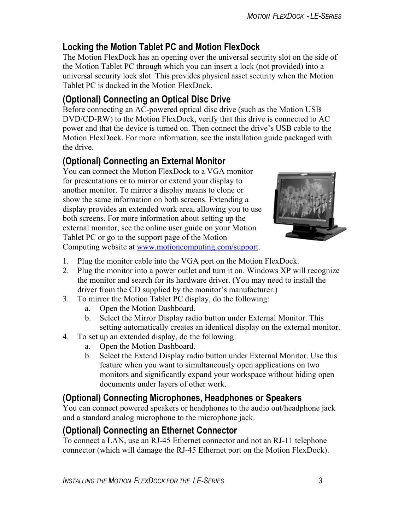# **Locking the Motion Tablet PC and Motion FlexDock**

The Motion FlexDock has an opening over the universal security slot on the side of the Motion Tablet PC through which you can insert a lock (not provided) into a universal security lock slot. This provides physical asset security when the Motion Tablet PC is docked in the Motion FlexDock.

## **(Optional) Connecting an Optical Disc Drive**

Before connecting an AC-powered optical disc drive (such as the Motion USB DVD/CD-RW) to the Motion FlexDock, verify that this drive is connected to AC power and that the device is turned on. Then connect the drive's USB cable to the Motion FlexDock. For more information, see the installation guide packaged with the drive.

# **(Optional) Connecting an External Monitor**

You can connect the Motion FlexDock to a VGA monitor for presentations or to mirror or extend your display to another monitor. To mirror a display means to clone or show the same information on both screens. Extending a display provides an extended work area, allowing you to use both screens. For more information about setting up the external monitor, see the online user guide on your Motion Tablet PC or go to the support page of the Motion



Computing website at www.motioncomputing.com/support.

- 1. Plug the monitor cable into the VGA port on the Motion FlexDock.
- 2. Plug the monitor into a power outlet and turn it on. Windows XP will recognize the monitor and search for its hardware driver. (You may need to install the driver from the CD supplied by the monitor's manufacturer.)
- 3. To mirror the Motion Tablet PC display, do the following:
	- a. Open the Motion Dashboard.
	- b. Select the Mirror Display radio button under External Monitor. This setting automatically creates an identical display on the external monitor.
- 4. To set up an extended display, do the following:
	- a. Open the Motion Dashboard.
	- b. Select the Extend Display radio button under External Monitor. Use this feature when you want to simultaneously open applications on two monitors and significantly expand your workspace without hiding open documents under layers of other work.

## **(Optional) Connecting Microphones, Headphones or Speakers**

You can connect powered speakers or headphones to the audio out/headphone jack and a standard analog microphone to the microphone jack.

## **(Optional) Connecting an Ethernet Connector**

To connect a LAN, use an RJ-45 Ethernet connector and not an RJ-11 telephone connector (which will damage the RJ-45 Ethernet port on the Motion FlexDock).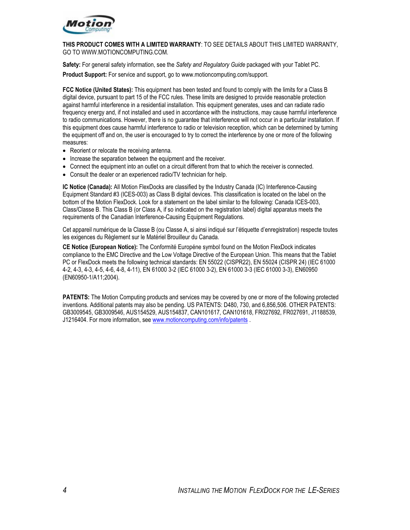

**THIS PRODUCT COMES WITH A LIMITED WARRANTY**: TO SEE DETAILS ABOUT THIS LIMITED WARRANTY, GO TO WWW.MOTIONCOMPUTING.COM.

**Safety:** For general safety information, see the *Safety and Regulatory Guide* packaged with your Tablet PC. **Product Support:** For service and support, go to www.motioncomputing.com/support.

**FCC Notice (United States):** This equipment has been tested and found to comply with the limits for a Class B digital device, pursuant to part 15 of the FCC rules. These limits are designed to provide reasonable protection against harmful interference in a residential installation. This equipment generates, uses and can radiate radio frequency energy and, if not installed and used in accordance with the instructions, may cause harmful interference to radio communications. However, there is no guarantee that interference will not occur in a particular installation. If this equipment does cause harmful interference to radio or television reception, which can be determined by turning the equipment off and on, the user is encouraged to try to correct the interference by one or more of the following measures:

- Reorient or relocate the receiving antenna.
- Increase the separation between the equipment and the receiver.
- Connect the equipment into an outlet on a circuit different from that to which the receiver is connected.
- Consult the dealer or an experienced radio/TV technician for help.

**IC Notice (Canada):** All Motion FlexDocks are classified by the Industry Canada (IC) Interference-Causing Equipment Standard #3 (ICES-003) as Class B digital devices. This classification is located on the label on the bottom of the Motion FlexDock. Look for a statement on the label similar to the following: Canada ICES-003, Class/Classe B. This Class B (or Class A, if so indicated on the registration label) digital apparatus meets the requirements of the Canadian Interference-Causing Equipment Regulations.

Cet appareil numérique de la Classe B (ou Classe A, si ainsi indiqué sur l'étiquette d'enregistration) respecte toutes les exigences du Règlement sur le Matériel Brouilleur du Canada.

**CE Notice (European Notice):** The Conformité Européne symbol found on the Motion FlexDock indicates compliance to the EMC Directive and the Low Voltage Directive of the European Union. This means that the Tablet PC or FlexDock meets the following technical standards: EN 55022 (CISPR22), EN 55024 (CISPR 24) (IEC 61000 4-2, 4-3, 4-3, 4-5, 4-6, 4-8, 4-11), EN 61000 3-2 (IEC 61000 3-2), EN 61000 3-3 (IEC 61000 3-3), EN60950 (EN60950-1/A11;2004).

**PATENTS:** The Motion Computing products and services may be covered by one or more of the following protected inventions. Additional patents may also be pending. US PATENTS: D480, 730, and 6,856,506. OTHER PATENTS: GB3009545, GB3009546, AUS154529, AUS154837, CAN101617, CAN101618, FR027692, FR027691, J1188539, J1216404. For more information, see www.motioncomputing.com/info/patents.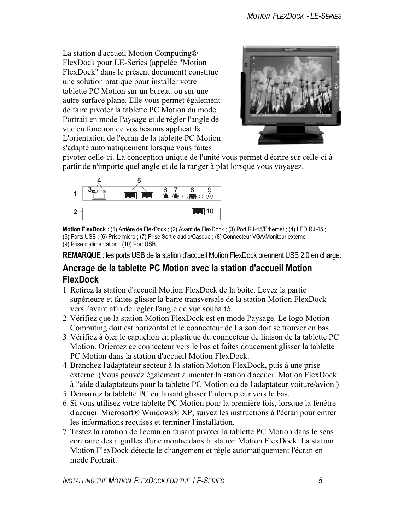La station d'accueil Motion Computing® FlexDock pour LE-Series (appelée "Motion FlexDock" dans le présent document) constitue une solution pratique pour installer votre tablette PC Motion sur un bureau ou sur une autre surface plane. Elle vous permet également de faire pivoter la tablette PC Motion du mode Portrait en mode Paysage et de régler l'angle de vue en fonction de vos besoins applicatifs. L'orientation de l'écran de la tablette PC Motion s'adapte automatiquement lorsque vous faites



pivoter celle-ci. La conception unique de l'unité vous permet d'écrire sur celle-ci à partir de n'importe quel angle et de la ranger à plat lorsque vous voyagez.



**Motion FlexDock :** (1) Arrière de FlexDock ; (2) Avant de FlexDock ; (3) Port RJ-45/Ethernet ; (4) LED RJ-45 ; (5) Ports USB ; (6) Prise micro ; (7) Prise Sortie audio/Casque ; (8) Connecteur VGA/Moniteur externe ; (9) Prise d'alimentation ; (10) Port USB

**REMARQUE** : les ports USB de la station d'accueil Motion FlexDock prennent USB 2.0 en charge.

## **Ancrage de la tablette PC Motion avec la station d'accueil Motion FlexDock**

- 1. Retirez la station d'accueil Motion FlexDock de la boîte. Levez la partie supérieure et faites glisser la barre transversale de la station Motion FlexDock vers l'avant afin de régler l'angle de vue souhaité.
- 2. Vérifiez que la station Motion FlexDock est en mode Paysage. Le logo Motion Computing doit est horizontal et le connecteur de liaison doit se trouver en bas.
- 3. Vérifiez à ôter le capuchon en plastique du connecteur de liaison de la tablette PC Motion. Orientez ce connecteur vers le bas et faites doucement glisser la tablette PC Motion dans la station d'accueil Motion FlexDock.
- 4. Branchez l'adaptateur secteur à la station Motion FlexDock, puis à une prise externe. (Vous pouvez également alimenter la station d'accueil Motion FlexDock à l'aide d'adaptateurs pour la tablette PC Motion ou de l'adaptateur voiture/avion.)
- 5. Démarrez la tablette PC en faisant glisser l'interrupteur vers le bas.
- 6. Si vous utilisez votre tablette PC Motion pour la première fois, lorsque la fenêtre d'accueil Microsoft® Windows® XP, suivez les instructions à l'écran pour entrer les informations requises et terminer l'installation.
- 7. Testez la rotation de l'écran en faisant pivoter la tablette PC Motion dans le sens contraire des aiguilles d'une montre dans la station Motion FlexDock. La station Motion FlexDock détecte le changement et règle automatiquement l'écran en mode Portrait.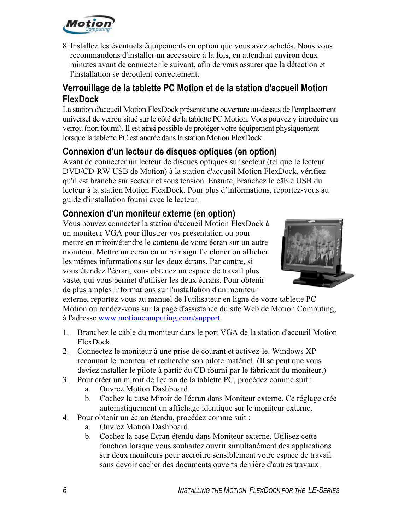

8. Installez les éventuels équipements en option que vous avez achetés. Nous vous recommandons d'installer un accessoire à la fois, en attendant environ deux minutes avant de connecter le suivant, afin de vous assurer que la détection et l'installation se déroulent correctement.

## **Verrouillage de la tablette PC Motion et de la station d'accueil Motion FlexDock**

La station d'accueil Motion FlexDock présente une ouverture au-dessus de l'emplacement universel de verrou situé sur le côté de la tablette PC Motion. Vous pouvez y introduire un verrou (non fourni). Il est ainsi possible de protéger votre équipement physiquement lorsque la tablette PC est ancrée dans la station Motion FlexDock.

## **Connexion d'un lecteur de disques optiques (en option)**

Avant de connecter un lecteur de disques optiques sur secteur (tel que le lecteur DVD/CD-RW USB de Motion) à la station d'accueil Motion FlexDock, vérifiez qu'il est branché sur secteur et sous tension. Ensuite, branchez le câble USB du lecteur à la station Motion FlexDock. Pour plus d'informations, reportez-vous au guide d'installation fourni avec le lecteur.

## **Connexion d'un moniteur externe (en option)**

Vous pouvez connecter la station d'accueil Motion FlexDock à un moniteur VGA pour illustrer vos présentation ou pour mettre en miroir/étendre le contenu de votre écran sur un autre moniteur. Mettre un écran en miroir signifie cloner ou afficher les mêmes informations sur les deux écrans. Par contre, si vous étendez l'écran, vous obtenez un espace de travail plus vaste, qui vous permet d'utiliser les deux écrans. Pour obtenir de plus amples informations sur l'installation d'un moniteur



externe, reportez-vous au manuel de l'utilisateur en ligne de votre tablette PC Motion ou rendez-vous sur la page d'assistance du site Web de Motion Computing, à l'adresse www.motioncomputing.com/support.

- 1. Branchez le câble du moniteur dans le port VGA de la station d'accueil Motion FlexDock.
- 2. Connectez le moniteur à une prise de courant et activez-le. Windows XP reconnaît le moniteur et recherche son pilote matériel. (Il se peut que vous deviez installer le pilote à partir du CD fourni par le fabricant du moniteur.)
- 3. Pour créer un miroir de l'écran de la tablette PC, procédez comme suit :
	- a. Ouvrez Motion Dashboard.
	- b. Cochez la case Miroir de l'écran dans Moniteur externe. Ce réglage crée automatiquement un affichage identique sur le moniteur externe.
- 4. Pour obtenir un écran étendu, procédez comme suit :
	- a. Ouvrez Motion Dashboard.
	- b. Cochez la case Ecran étendu dans Moniteur externe. Utilisez cette fonction lorsque vous souhaitez ouvrir simultanément des applications sur deux moniteurs pour accroître sensiblement votre espace de travail sans devoir cacher des documents ouverts derrière d'autres travaux.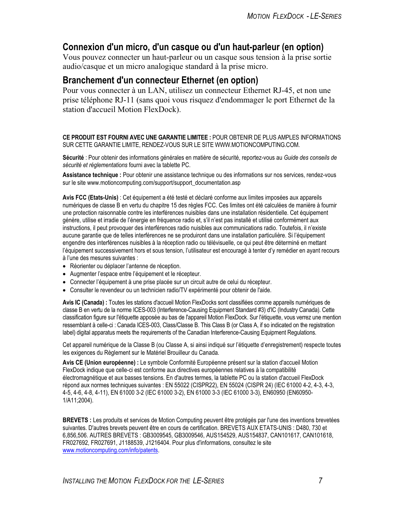#### **Connexion d'un micro, d'un casque ou d'un haut-parleur (en option)**

Vous pouvez connecter un haut-parleur ou un casque sous tension à la prise sortie audio/casque et un micro analogique standard à la prise micro.

#### **Branchement d'un connecteur Ethernet (en option)**

Pour vous connecter à un LAN, utilisez un connecteur Ethernet RJ-45, et non une prise téléphone RJ-11 (sans quoi vous risquez d'endommager le port Ethernet de la station d'accueil Motion FlexDock).

**CE PRODUIT EST FOURNI AVEC UNE GARANTIE LIMITEE :** POUR OBTENIR DE PLUS AMPLES INFORMATIONS SUR CETTE GARANTIE LIMITE, RENDEZ-VOUS SUR LE SITE WWW.MOTIONCOMPUTING.COM.

**Sécurité** : Pour obtenir des informations générales en matière de sécurité, reportez-vous au *Guide des conseils de sécurité et réglementations* fourni avec la tablette PC.

**Assistance technique :** Pour obtenir une assistance technique ou des informations sur nos services, rendez-vous sur le site www.motioncomputing.com/support/support\_documentation.asp

**Avis FCC (Etats-Unis)** : Cet équipement a été testé et déclaré conforme aux limites imposées aux appareils numériques de classe B en vertu du chapitre 15 des règles FCC. Ces limites ont été calculées de manière à fournir une protection raisonnable contre les interférences nuisibles dans une installation résidentielle. Cet équipement génère, utilise et irradie de l'énergie en fréquence radio et, s'il n'est pas installé et utilisé conformément aux instructions, il peut provoquer des interférences radio nuisibles aux communications radio. Toutefois, il n'existe aucune garantie que de telles interférences ne se produiront dans une installation particulière. Si l'équipement engendre des interférences nuisibles à la réception radio ou télévisuelle, ce qui peut être déterminé en mettant l'équipement successivement hors et sous tension, l'utilisateur est encouragé à tenter d'y remédier en ayant recours à l'une des mesures suivantes :

- 
- x Réorienter ou déplacer l'antenne de réception.
- Augmenter l'espace entre l'équipement et le récepteur.
- Connecter l'équipement à une prise placée sur un circuit autre de celui du récepteur.
- Consulter le revendeur ou un technicien radio/TV expérimenté pour obtenir de l'aide.

**Avis IC (Canada) :** Toutes les stations d'accueil Motion FlexDocks sont classifiées comme appareils numériques de classe B en vertu de la norme ICES-003 (Interference-Causing Equipment Standard #3) d'IC (Industry Canada). Cette classification figure sur l'étiquette apposée au bas de l'appareil Motion FlexDock. Sur l'étiquette, vous verrez une mention ressemblant à celle-ci : Canada ICES-003, Class/Classe B. This Class B (or Class A, if so indicated on the registration label) digital apparatus meets the requirements of the Canadian Interference-Causing Equipment Regulations.

Cet appareil numérique de la Classe B (ou Classe A, si ainsi indiqué sur l'étiquette d'enregistrement) respecte toutes les exigences du Règlement sur le Matériel Brouilleur du Canada.

**Avis CE (Union européenne) :** Le symbole Conformité Européenne présent sur la station d'accueil Motion FlexDock indique que celle-ci est conforme aux directives européennes relatives à la compatibilité électromagnétique et aux basses tensions. En d'autres termes, la tablette PC ou la station d'accueil FlexDock répond aux normes techniques suivantes : EN 55022 (CISPR22), EN 55024 (CISPR 24) (IEC 61000 4-2, 4-3, 4-3, 4-5, 4-6, 4-8, 4-11), EN 61000 3-2 (IEC 61000 3-2), EN 61000 3-3 (IEC 61000 3-3), EN60950 (EN60950- 1/A11;2004).

**BREVETS :** Les produits et services de Motion Computing peuvent être protégés par l'une des inventions brevetées suivantes. D'autres brevets peuvent être en cours de certification. BREVETS AUX ETATS-UNIS : D480, 730 et 6,856,506. AUTRES BREVETS : GB3009545, GB3009546, AUS154529, AUS154837, CAN101617, CAN101618, FR027692, FR027691, J1188539, J1216404. Pour plus d'informations, consultez le site www.motioncomputing.com/info/patents.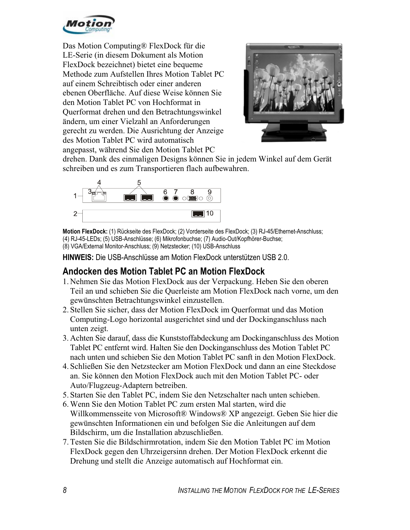

Das Motion Computing® FlexDock für die LE-Serie (in diesem Dokument als Motion FlexDock bezeichnet) bietet eine bequeme Methode zum Aufstellen Ihres Motion Tablet PC auf einem Schreibtisch oder einer anderen ebenen Oberfläche. Auf diese Weise können Sie den Motion Tablet PC von Hochformat in Querformat drehen und den Betrachtungswinkel ändern, um einer Vielzahl an Anforderungen gerecht zu werden. Die Ausrichtung der Anzeige des Motion Tablet PC wird automatisch angepasst, während Sie den Motion Tablet PC



drehen. Dank des einmaligen Designs können Sie in jedem Winkel auf dem Gerät schreiben und es zum Transportieren flach aufbewahren.



**Motion FlexDock:** (1) Rückseite des FlexDock; (2) Vorderseite des FlexDock; (3) RJ-45/Ethernet-Anschluss; (4) RJ-45-LEDs; (5) USB-Anschlüsse; (6) Mikrofonbuchse; (7) Audio-Out/Kopfhörer-Buchse; (8) VGA/External Monitor-Anschluss; (9) Netzstecker; (10) USB-Anschluss

**HINWEIS:** Die USB-Anschlüsse am Motion FlexDock unterstützen USB 2.0.

## **Andocken des Motion Tablet PC an Motion FlexDock**

- 1. Nehmen Sie das Motion FlexDock aus der Verpackung. Heben Sie den oberen Teil an und schieben Sie die Querleiste am Motion FlexDock nach vorne, um den gewünschten Betrachtungswinkel einzustellen.
- 2. Stellen Sie sicher, dass der Motion FlexDock im Querformat und das Motion Computing-Logo horizontal ausgerichtet sind und der Dockinganschluss nach unten zeigt.
- 3. Achten Sie darauf, dass die Kunststoffabdeckung am Dockinganschluss des Motion Tablet PC entfernt wird. Halten Sie den Dockinganschluss des Motion Tablet PC nach unten und schieben Sie den Motion Tablet PC sanft in den Motion FlexDock.
- 4. Schließen Sie den Netzstecker am Motion FlexDock und dann an eine Steckdose an. Sie können den Motion FlexDock auch mit den Motion Tablet PC- oder Auto/Flugzeug-Adaptern betreiben.
- 5. Starten Sie den Tablet PC, indem Sie den Netzschalter nach unten schieben.
- 6. Wenn Sie den Motion Tablet PC zum ersten Mal starten, wird die Willkommensseite von Microsoft® Windows® XP angezeigt. Geben Sie hier die gewünschten Informationen ein und befolgen Sie die Anleitungen auf dem Bildschirm, um die Installation abzuschließen.
- 7. Testen Sie die Bildschirmrotation, indem Sie den Motion Tablet PC im Motion FlexDock gegen den Uhrzeigersinn drehen. Der Motion FlexDock erkennt die Drehung und stellt die Anzeige automatisch auf Hochformat ein.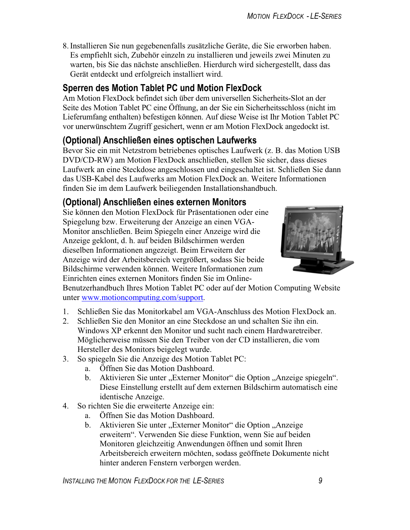8. Installieren Sie nun gegebenenfalls zusätzliche Geräte, die Sie erworben haben. Es empfiehlt sich, Zubehör einzeln zu installieren und jeweils zwei Minuten zu warten, bis Sie das nächste anschließen. Hierdurch wird sichergestellt, dass das Gerät entdeckt und erfolgreich installiert wird.

# **Sperren des Motion Tablet PC und Motion FlexDock**

Am Motion FlexDock befindet sich über dem universellen Sicherheits-Slot an der Seite des Motion Tablet PC eine Öffnung, an der Sie ein Sicherheitsschloss (nicht im Lieferumfang enthalten) befestigen können. Auf diese Weise ist Ihr Motion Tablet PC vor unerwünschtem Zugriff gesichert, wenn er am Motion FlexDock angedockt ist.

## **(Optional) Anschließen eines optischen Laufwerks**

Bevor Sie ein mit Netzstrom betriebenes optisches Laufwerk (z. B. das Motion USB DVD/CD-RW) am Motion FlexDock anschließen, stellen Sie sicher, dass dieses Laufwerk an eine Steckdose angeschlossen und eingeschaltet ist. Schließen Sie dann das USB-Kabel des Laufwerks am Motion FlexDock an. Weitere Informationen finden Sie im dem Laufwerk beiliegenden Installationshandbuch.

## **(Optional) Anschließen eines externen Monitors**

Sie können den Motion FlexDock für Präsentationen oder eine Spiegelung bzw. Erweiterung der Anzeige an einen VGA-Monitor anschließen. Beim Spiegeln einer Anzeige wird die Anzeige geklont, d. h. auf beiden Bildschirmen werden dieselben Informationen angezeigt. Beim Erweitern der Anzeige wird der Arbeitsbereich vergrößert, sodass Sie beide Bildschirme verwenden können. Weitere Informationen zum Einrichten eines externen Monitors finden Sie im Online-



Benutzerhandbuch Ihres Motion Tablet PC oder auf der Motion Computing Website unter www.motioncomputing.com/support.

- 1. Schließen Sie das Monitorkabel am VGA-Anschluss des Motion FlexDock an.
- 2. Schließen Sie den Monitor an eine Steckdose an und schalten Sie ihn ein. Windows XP erkennt den Monitor und sucht nach einem Hardwaretreiber. Möglicherweise müssen Sie den Treiber von der CD installieren, die vom Hersteller des Monitors beigelegt wurde.
- 3. So spiegeln Sie die Anzeige des Motion Tablet PC:
	- a. Öffnen Sie das Motion Dashboard.
	- b. Aktivieren Sie unter "Externer Monitor" die Option "Anzeige spiegeln". Diese Einstellung erstellt auf dem externen Bildschirm automatisch eine identische Anzeige.
- 4. So richten Sie die erweiterte Anzeige ein:
	- a. Öffnen Sie das Motion Dashboard.
	- b. Aktivieren Sie unter "Externer Monitor" die Option "Anzeige erweitern". Verwenden Sie diese Funktion, wenn Sie auf beiden Monitoren gleichzeitig Anwendungen öffnen und somit Ihren Arbeitsbereich erweitern möchten, sodass geöffnete Dokumente nicht hinter anderen Fenstern verborgen werden.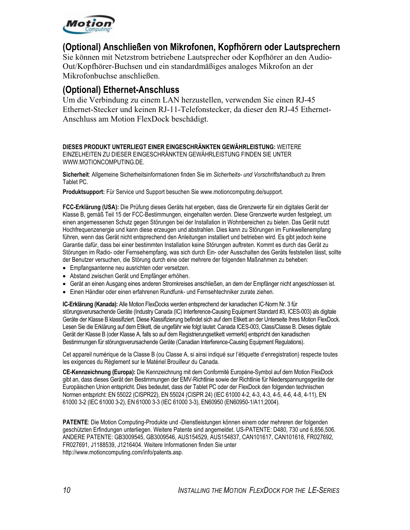

#### **(Optional) Anschließen von Mikrofonen, Kopfhörern oder Lautsprechern**

Sie können mit Netzstrom betriebene Lautsprecher oder Kopfhörer an den Audio-Out/Kopfhörer-Buchsen und ein standardmäßiges analoges Mikrofon an der Mikrofonbuchse anschließen.

## **(Optional) Ethernet-Anschluss**

Um die Verbindung zu einem LAN herzustellen, verwenden Sie einen RJ-45 Ethernet-Stecker und keinen RJ-11-Telefonstecker, da dieser den RJ-45 Ethernet-Anschluss am Motion FlexDock beschädigt.

**DIESES PRODUKT UNTERLIEGT EINER EINGESCHRÄNKTEN GEWÄHRLEISTUNG:** WEITERE EINZELHEITEN ZU DIESER EINGESCHRÄNKTEN GEWÄHRLEISTUNG FINDEN SIE UNTER WWW.MOTIONCOMPUTING.DE.

**Sicherheit**: Allgemeine Sicherheitsinformationen finden Sie im *Sicherheits- und Vorschriftshandbuch* zu Ihrem Tablet PC.

**Produktsupport:** Für Service und Support besuchen Sie www.motioncomputing.de/support.

**FCC-Erklärung (USA):** Die Prüfung dieses Geräts hat ergeben, dass die Grenzwerte für ein digitales Gerät der Klasse B, gemäß Teil 15 der FCC-Bestimmungen, eingehalten werden. Diese Grenzwerte wurden festgelegt, um einen angemessenen Schutz gegen Störungen bei der Installation in Wohnbereichen zu bieten. Das Gerät nutzt Hochfrequenzenergie und kann diese erzeugen und abstrahlen. Dies kann zu Störungen im Funkwellenempfang führen, wenn das Gerät nicht entsprechend den Anleitungen installiert und betrieben wird. Es gibt jedoch keine Garantie dafür, dass bei einer bestimmten Installation keine Störungen auftreten. Kommt es durch das Gerät zu Störungen im Radio- oder Fernsehempfang, was sich durch Ein- oder Ausschalten des Geräts feststellen lässt, sollte der Benutzer versuchen, die Störung durch eine oder mehrere der folgenden Maßnahmen zu beheben:

- Empfangsantenne neu ausrichten oder versetzen.
- Abstand zwischen Gerät und Empfänger erhöhen.
- Gerät an einen Ausgang eines anderen Stromkreises anschließen, an dem der Empfänger nicht angeschlossen ist.
- Einen Händler oder einen erfahrenen Rundfunk- und Fernsehtechniker zurate ziehen.

**IC-Erklärung (Kanada):** Alle Motion FlexDocks werden entsprechend der kanadischen IC-Norm Nr. 3 für störungsverursachende Geräte (Industry Canada (IC) Interference-Causing Equipment Standard #3, ICES-003) als digitale Geräte der Klasse B klassifiziert. Diese Klassifizierung befindet sich auf dem Etikett an der Unterseite Ihres Motion FlexDock. Lesen Sie die Erklärung auf dem Etikett, die ungefähr wie folgt lautet: Canada ICES-003, Class/Classe B. Dieses digitale Gerät der Klasse B (oder Klasse A, falls so auf dem Registrierungsetikett vermerkt) entspricht den kanadischen Bestimmungen für störungsverursachende Geräte (Canadian Interference-Causing Equipment Regulations).

Cet appareil numérique de la Classe B (ou Classe A, si ainsi indiqué sur l'étiquette d'enregistration) respecte toutes les exigences du Règlement sur le Matériel Brouilleur du Canada.

**CE-Kennzeichnung (Europa):** Die Kennzeichnung mit dem Conformité Européne-Symbol auf dem Motion FlexDock gibt an, dass dieses Gerät den Bestimmungen der EMV-Richtlinie sowie der Richtlinie für Niederspannungsgeräte der Europäischen Union entspricht. Dies bedeutet, dass der Tablet PC oder der FlexDock den folgenden technischen Normen entspricht: EN 55022 (CISPR22), EN 55024 (CISPR 24) (IEC 61000 4-2, 4-3, 4-3, 4-5, 4-6, 4-8, 4-11), EN 61000 3-2 (IEC 61000 3-2), EN 61000 3-3 (IEC 61000 3-3), EN60950 (EN60950-1/A11;2004).

**PATENTE**: Die Motion Computing-Produkte und -Dienstleistungen können einem oder mehreren der folgenden geschützten Erfindungen unterliegen. Weitere Patente sind angemeldet. US-PATENTE: D480, 730 und 6,856,506. ANDERE PATENTE: GB3009545, GB3009546, AUS154529, AUS154837, CAN101617, CAN101618, FR027692, FR027691, J1188539, J1216404. Weitere Informationen finden Sie unter http://www.motioncomputing.com/info/patents.asp.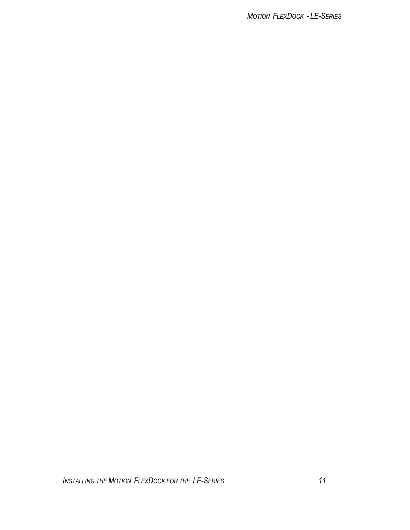*MOTION FLEXDOCK - LE-SERIES*

*INSTALLING THE MOTION FLEXDOCK FOR THE LE-SERIES 11*